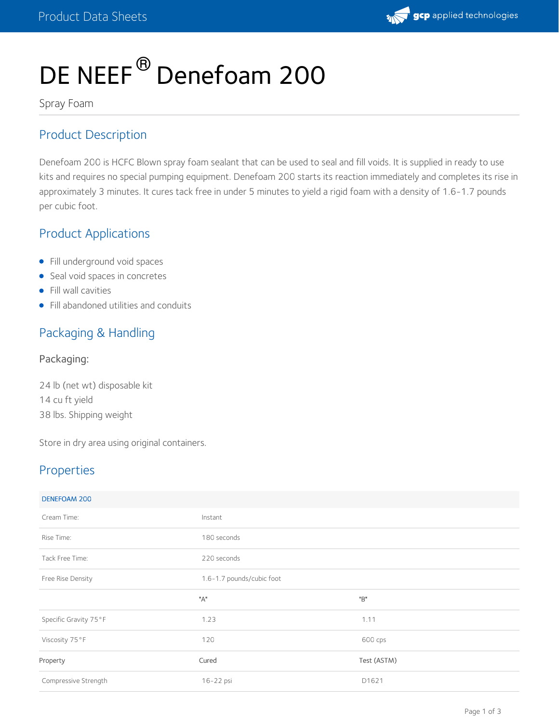

# DE NEEF<sup>®</sup> Denefoam 200

Spray Foam

## Product Description

Denefoam 200 is HCFC Blown spray foam sealant that can be used to seal and fill voids. It is supplied in ready to use kits and requires no special pumping equipment. Denefoam 200 starts its reaction immediately and completes its rise in approximately 3 minutes. It cures tack free in under 5 minutes to yield a rigid foam with a density of 1.6-1.7 pounds per cubic foot.

## Product Applications

- Fill underground void spaces
- Seal void spaces in concretes
- Fill wall cavities
- Fill abandoned utilities and conduits

## Packaging & Handling

Packaging:

24 lb (net wt) disposable kit 14 cu ft yield 38 lbs. Shipping weight

Store in dry area using original containers.

## Properties

| DENEFOAM 200          |                           |             |  |
|-----------------------|---------------------------|-------------|--|
| Cream Time:           | Instant                   |             |  |
| Rise Time:            | 180 seconds               |             |  |
| Tack Free Time:       | 220 seconds               |             |  |
| Free Rise Density     | 1.6-1.7 pounds/cubic foot |             |  |
|                       | "А"                       | "B"         |  |
|                       |                           |             |  |
| Specific Gravity 75°F | 1.23                      | 1.11        |  |
| Viscosity 75°F        | 120                       | 600 cps     |  |
| Property              | Cured                     | Test (ASTM) |  |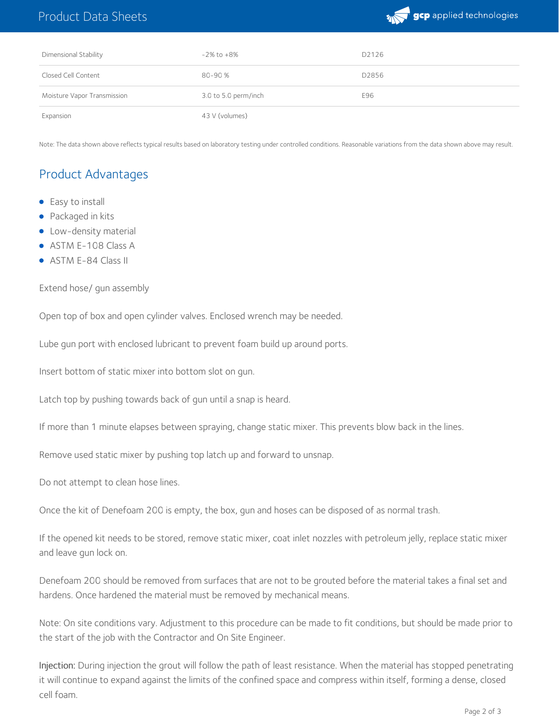## Product Data Sheets



| Dimensional Stability       | $-2\%$ to $+8\%$     | D2126 |
|-----------------------------|----------------------|-------|
| Closed Cell Content         | 80-90 %              | D2856 |
| Moisture Vapor Transmission | 3.0 to 5.0 perm/inch | E96   |
| Expansion                   | 43 V (volumes)       |       |

Note: The data shown above reflects typical results based on laboratory testing under controlled conditions. Reasonable variations from the data shown above may result.

## Product Advantages

- Easy to install
- Packaged in kits
- **•** Low-density material
- ASTM E-108 Class A
- ASTM E-84 Class II

#### Extend hose/ gun assembly

Open top of box and open cylinder valves. Enclosed wrench may be needed.

Lube gun port with enclosed lubricant to prevent foam build up around ports.

Insert bottom of static mixer into bottom slot on qun.

Latch top by pushing towards back of gun until a snap is heard.

If more than 1 minute elapses between spraying, change static mixer. This prevents blow back in the lines.

Remove used static mixer by pushing top latch up and forward to unsnap.

Do not attempt to clean hose lines.

Once the kit of Denefoam 200 is empty, the box, gun and hoses can be disposed of as normal trash.

If the opened kit needs to be stored, remove static mixer, coat inlet nozzles with petroleum jelly, replace static mixer and leave gun lock on.

Denefoam 200 should be removed from surfaces that are not to be grouted before the material takes a final set and hardens. Once hardened the material must be removed by mechanical means.

Note: On site conditions vary. Adjustment to this procedure can be made to fit conditions, but should be made prior to the start of the job with the Contractor and On Site Engineer.

Injection: During injection the grout will follow the path of least resistance. When the material has stopped penetrating it will continue to expand against the limits of the confined space and compress within itself, forming a dense, closed cell foam.